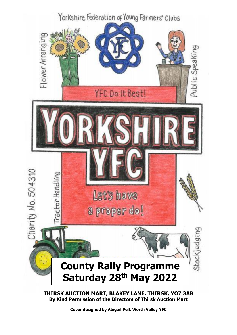

**Cover designed by Abigail Pell, Worth Valley YFC**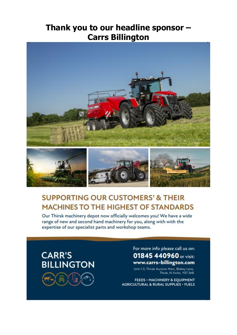# Thank you to our headline sponsor -**Carrs Billington**



# **SUPPORTING OUR CUSTOMERS' & THEIR MACHINES TO THE HIGHEST OF STANDARDS**

Our Thirsk machinery depot now officially welcomes you! We have a wide range of new and second hand machinery for you, along with with the expertise of our specialist parts and workshop teams.

# **CARR'S BILLINGTON**



For more info please call us on: 01845 440960 or visit: www.carrs-billington.com

Unit 1-3, Thirak Auction Mart, Blakey Lane, Thirsk, N.Yorks, Y07 3AB

FEEDS . MACHINERY & EQUIPMENT **AGRICULTURAL & RURAL SUPPLIES · FUELS**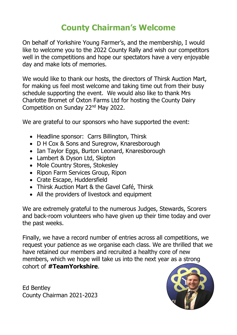# **County Chairman's Welcome**

On behalf of Yorkshire Young Farmer's, and the membership, I would like to welcome you to the 2022 County Rally and wish our competitors well in the competitions and hope our spectators have a very enjoyable day and make lots of memories.

We would like to thank our hosts, the directors of Thirsk Auction Mart, for making us feel most welcome and taking time out from their busy schedule supporting the event. We would also like to thank Mrs Charlotte Bromet of Oxton Farms Ltd for hosting the County Dairy Competition on Sunday 22nd May 2022.

We are grateful to our sponsors who have supported the event:

- Headline sponsor: Carrs Billington, Thirsk
- D H Cox & Sons and Suregrow, Knaresborough
- Ian Taylor Eggs, Burton Leonard, Knaresborough
- Lambert & Dyson Ltd, Skipton
- Mole Country Stores, Stokesley
- Ripon Farm Services Group, Ripon
- Crate Escape, Huddersfield
- Thirsk Auction Mart & the Gavel Café, Thirsk
- All the providers of livestock and equipment

We are extremely grateful to the numerous Judges, Stewards, Scorers and back-room volunteers who have given up their time today and over the past weeks.

Finally, we have a record number of entries across all competitions, we request your patience as we organise each class. We are thrilled that we have retained our members and recruited a healthy core of new members, which we hope will take us into the next year as a strong cohort of **#TeamYorkshire**.

Ed Bentley County Chairman 2021-2023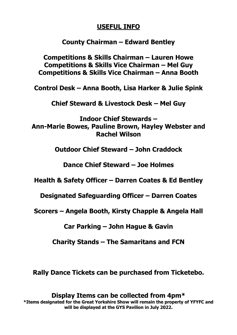## **USEFUL INFO**

## **County Chairman – Edward Bentley**

**Competitions & Skills Chairman – Lauren Howe Competitions & Skills Vice Chairman – Mel Guy Competitions & Skills Vice Chairman – Anna Booth**

**Control Desk – Anna Booth, Lisa Harker & Julie Spink**

**Chief Steward & Livestock Desk – Mel Guy**

**Indoor Chief Stewards – Ann-Marie Bowes, Pauline Brown, Hayley Webster and Rachel Wilson**

**Outdoor Chief Steward – John Craddock**

**Dance Chief Steward – Joe Holmes**

**Health & Safety Officer – Darren Coates & Ed Bentley**

**Designated Safeguarding Officer – Darren Coates**

**Scorers – Angela Booth, Kirsty Chapple & Angela Hall**

**Car Parking – John Hague & Gavin**

**Charity Stands – The Samaritans and FCN**

**Rally Dance Tickets can be purchased from Ticketebo.**

### **Display Items can be collected from 4pm\***

**\*Items designated for the Great Yorkshire Show will remain the property of YFYFC and will be displayed at the GYS Pavilion in July 2022.**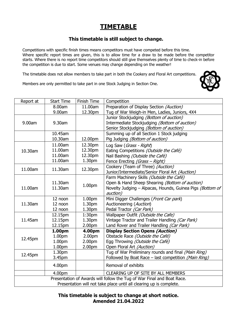## **TIMETABLE**

#### **This timetable is still subject to change.**

Competitions with specific finish times means competitors must have competed before this time. Where specific report times are given, this is to allow time for a draw to be made before the competitor starts. Where there is no report time competitors should still give themselves plenty of time to check-in before the competition is due to start. Some venues may change depending on the weather!

The timetable does not allow members to take part in both the Cookery and Floral Art competitions.

Members are only permitted to take part in one Stock Judging in Section One.

| Report at                                                              | <b>Start Time</b> | Finish Time        | Competition                                               |  |  |  |  |
|------------------------------------------------------------------------|-------------------|--------------------|-----------------------------------------------------------|--|--|--|--|
|                                                                        | 8.00am            | 11.00am            | Preparation of Display Section (Auction)                  |  |  |  |  |
|                                                                        | 9.00am            | 12.30pm            | Tug of War Weigh-in Men, Ladies, Juniors, 4X4             |  |  |  |  |
|                                                                        |                   |                    | Junior Stockjudging (Bottom of auction)                   |  |  |  |  |
| 9.00am                                                                 | 9.30am            |                    | Intermediate Stockjudging (Bottom of auction)             |  |  |  |  |
|                                                                        |                   |                    | Senior Stockjudging (Bottom of auction)                   |  |  |  |  |
|                                                                        | 10.45am           |                    | Summing up of all Section 1 Stock judging                 |  |  |  |  |
|                                                                        | 10.30am           | 12.00pm            | Pig Judging (Bottom of auction)                           |  |  |  |  |
|                                                                        | 11.00am           | 12.30pm            | Log Saw (Grass - Right)                                   |  |  |  |  |
| 10.30am                                                                | 11.00am           | 12.30pm            | Eating Competitions (Outside the Café)                    |  |  |  |  |
|                                                                        | 11.00am           | 12.30pm            | Nail Bashing (Outside the Café)                           |  |  |  |  |
|                                                                        | 11.00am           | 1.30 <sub>pm</sub> | Fence Erecting (Grass - Right)                            |  |  |  |  |
| 11.00am                                                                | 11.30am           | 12.30pm            | Cookery (Team of Three) (Auction)                         |  |  |  |  |
|                                                                        |                   |                    | Junior/Intermediate/Senior Floral Art (Auction)           |  |  |  |  |
|                                                                        |                   |                    | Farm Machinery Skills (Outside the Café)                  |  |  |  |  |
|                                                                        | 11.30am           | 1.00pm             | Open & Hand Sheep Shearing (Bottom of auction)            |  |  |  |  |
| 11.00am                                                                | 11.30am           |                    | Novelty Judging - Alpacas, Hounds, Guinea Pigs (Bottom of |  |  |  |  |
|                                                                        |                   |                    | auction)                                                  |  |  |  |  |
|                                                                        | 12 noon           | 1.00pm             | Mini Digger Challenges (Front Car park)                   |  |  |  |  |
| 11.30am                                                                | 12 noon           | 1.30pm             | Auctioneering (Auction)                                   |  |  |  |  |
|                                                                        | 12 noon           | 1.30pm             | Pedal Tractor (Car Park)                                  |  |  |  |  |
|                                                                        | 12.15pm           | 1:30 <sub>pm</sub> | Wallpaper Outfit (Outside the Cafe)                       |  |  |  |  |
| 11.45am                                                                | 12.15pm           | 1.30pm             | Vintage Tractor and Trailer Handling (Car Park)           |  |  |  |  |
|                                                                        | 12.15pm           | 2.00pm             | Land Rover and Trailer Handling (Car Park)                |  |  |  |  |
|                                                                        | 1.00pm            | 4.00pm             | <b>Display Section Opens (Auction)</b>                    |  |  |  |  |
| 12.45pm                                                                | 1.00pm            | 2.00pm             | Obstacle Race (Outside the Café)                          |  |  |  |  |
|                                                                        | 1.00pm            | 2.00pm             | Egg Throwing (Outside the Café)                           |  |  |  |  |
|                                                                        | 1.00pm            | 2.00pm             | Open Floral Art (Auction)                                 |  |  |  |  |
| 12.45pm                                                                | 1.30pm            |                    | Tug of War Preliminary rounds and final (Main Ring)       |  |  |  |  |
|                                                                        | 3.45pm            |                    | Followed by Boat Race - last competition (Main Ring)      |  |  |  |  |
|                                                                        | 4.00pm            |                    | Removal of exhibits                                       |  |  |  |  |
|                                                                        | 4.00pm            |                    | CLEARING UP OF SITE BY ALL MEMBERS                        |  |  |  |  |
| Presentation of Awards will follow the Tug of War Final and Boat Race. |                   |                    |                                                           |  |  |  |  |
| Presentation will not take place until all clearing up is complete.    |                   |                    |                                                           |  |  |  |  |

**This timetable is subject to change at short notice. Amended 21.04.2022**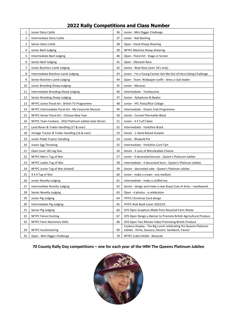| 1  | Junior Dairy Cattle                                    | 36 | Junior - Mini Digger Challenge                                                                                         |  |
|----|--------------------------------------------------------|----|------------------------------------------------------------------------------------------------------------------------|--|
| 2  | Intermediate Dairy Cattle                              |    | Junior - Nail Bashing                                                                                                  |  |
| 3  | Senior Dairy Cattle                                    |    | Open - Hand Sheep Shearing                                                                                             |  |
| 4  | Junior Beef Judging                                    |    | NFYFC Machine Sheep Sheering                                                                                           |  |
| 5  | Intermediate Beef Judging                              |    | Open - Floral Art - Stage or Screen                                                                                    |  |
| 6  | Senior Beef Judging                                    |    | Open - Obstacle Race                                                                                                   |  |
| 7  | Junior Butchers Lamb Judging                           |    | Senior - Boat Race (over 18's only)                                                                                    |  |
| 8  | Intermediate Butchers Lamb Judging                     |    | Junior - I'm a Young Farmer Get Me Out of Here Eating Challenge                                                        |  |
| 9  | Senior Butchers Lamb Judging                           | 44 | Open - Team Wallpaper outfit - dress a club leader                                                                     |  |
| 10 | Junior Breeding Sheep Judging                          |    | Junior - Maracas                                                                                                       |  |
| 11 | Intermediate Breeding Sheep Judging                    |    | Intermediate - Tambourine                                                                                              |  |
| 12 | Senior Breeding Sheep Judging                          |    | Senior - Xylophone & Beater                                                                                            |  |
| 13 | NFYFC Junior Floral Art - British TV Programme         |    | Junior - YFC Pasta/Rice Collage                                                                                        |  |
| 14 | NFYFC Intermediate Floral Art - My Favourite Musical   | 49 | Intermediate - Dream Club Programme                                                                                    |  |
| 15 | NFYFC Senior Floral Art - Chinese New Year             |    | Senior - Carved Thermalite Block                                                                                       |  |
| 16 | NFYFC Team Cookery - 2022 Platinum Jubilee Gala Dinner |    | Junior - 4 X Turf Cakes                                                                                                |  |
| 17 | Land Rover & Trailer Handling (17 & over)              |    | Intermediate - Yorkshire Brack                                                                                         |  |
| 18 | Vintage Tractor & Trailer Handling (16 & over)         |    | Senior - 1 Hand Raised Growler                                                                                         |  |
| 19 | Junior Pedal Tractor Handling                          |    | Junior - Rhubarb Pie                                                                                                   |  |
| 20 | Junior Egg Throwing                                    |    | Intermediate - Yorkshire Curd Tart                                                                                     |  |
| 21 | Open (over 18) Log Saw                                 |    | Senior - 4 uses of Wensleydale Cheese                                                                                  |  |
| 22 | NFYFC Men's Tug of War                                 |    | Junior - 4 decorated biscuits - Queen's Platinum Jubilee                                                               |  |
| 23 | NFYFC Ladies Tug of War                                |    | Intermediate - 4 decorated buns - Queen's Platinum Jubilee                                                             |  |
| 24 | NFYFC Junior Tug of War (mixed)                        | 59 | Senior - decorated cake - Queen's Platinum Jubilee                                                                     |  |
| 25 | 4 X 4 Tug of War                                       |    | Junior - make a crown - any medium                                                                                     |  |
| 26 | Junior Novelty Judging                                 | 61 | Intermediate - make a stuffed toy                                                                                      |  |
| 27 | Intermediate Novelty Judging                           | 62 | Senior - design and make a new Royal Coat of Arms - needlework                                                         |  |
| 28 | Senior Novelty Judging                                 | 63 | Open - 4 photos - a celebration                                                                                        |  |
| 29 | Junior Pig Judging                                     | 64 | YFYFC Christmas Card design                                                                                            |  |
| 30 | Intermediate Pig Judging                               | 65 | YFYFC Rule Book Cover 2022/23                                                                                          |  |
| 31 | Senior Pig Judging                                     | 66 | GYS Open Sculpture Made from Recycled Farm Waste                                                                       |  |
| 32 | <b>NFYFC Fence Erecting</b>                            | 67 | GYS Open Design a Banner to Promote British Agricultural Produce                                                       |  |
| 33 | NFYFC Farm Machinery Skills                            | 68 | GYS Open Two Minute Video Promoting British Produce                                                                    |  |
| 34 | <b>NFYFC Auctioneering</b>                             | 69 | Cookery Display - The Big Lunch celebrating the Queens Platinum<br>Jubilee - Drink, Savoury, Dessert, Sandwich, Favour |  |
| 35 | Open - Mini Digger Challenge                           |    | NFYFC Cube Exhibit - Musicals                                                                                          |  |

#### **2022 Rally Competitions and Class Number**

#### **70 County Rally Day competitions – one for each year of the HRH The Queens Platinum Jubilee**

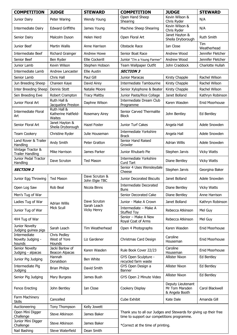| <b>COMPETITION</b>                                | <b>JUDGE</b>                                           | <b>STEWARD</b>                                    | <b>COMPETITION</b>                                                                                                                                    | <b>JUDGE</b>                                          | <b>STEWARD</b>     |  |
|---------------------------------------------------|--------------------------------------------------------|---------------------------------------------------|-------------------------------------------------------------------------------------------------------------------------------------------------------|-------------------------------------------------------|--------------------|--|
| Junior Dairy                                      | Peter Waring                                           | Wendy Young                                       | Open Hand Sheep<br>Shearing                                                                                                                           | Kevin Wilson &<br>Chris Ryder                         | N/A                |  |
| Intermediate Dairy                                | <b>Edward Griffiths</b>                                | James Young                                       | Machine Sheep Shearing                                                                                                                                | Kevin Wilson &<br>Chris Ryder                         | N/A                |  |
| Senior Dairy                                      | Malcolm Dyson                                          | Helen Herd                                        | Open Floral Art                                                                                                                                       | Janet Hayton &<br>Sheila Dryborough                   | Ruth Smith         |  |
| Junior Beef                                       | <b>Martin Wallis</b><br>Anne Harrison                  |                                                   | <b>Obstacle Race</b>                                                                                                                                  | Ian Close                                             | Tim<br>Weatherhead |  |
| Intermediate Beef                                 | Richard Grainger<br><b>Andrew Howe</b>                 |                                                   | Senior Boat Race                                                                                                                                      | Andrew Wood                                           | Jennifer Fletcher  |  |
| Senior Beef                                       | Ben Ryder                                              | <b>Ellie Cockerill</b>                            | Junior "I'm a Young Farmer"                                                                                                                           | Andrew Wood                                           | Jennifer Fletcher  |  |
| Junior Lamb                                       | Kevin Wilson                                           | Stephen Hobson                                    | Team Wallpaper Outfit                                                                                                                                 | John Craddock                                         | Charlotte Hullah   |  |
| Intermediate Lamb                                 | Andrew Lancaster                                       | <b>Ellie Austin</b>                               | <b>SECTION 3</b>                                                                                                                                      |                                                       |                    |  |
| Senior Lamb                                       | Chris Hall                                             | Paul Gill                                         | Junior Maracas                                                                                                                                        | Rachel Wilson                                         |                    |  |
| Jun Breeding Sheep                                | Chareen Kaye                                           | David Airey                                       | Intermediate Tambourine                                                                                                                               | Kirsty Chapple                                        | Rachel Wilson      |  |
| <b>Inter Breeding Sheep</b>                       | Dennis Stott                                           | Natalie Moore                                     | Senior Xylophone & Beater                                                                                                                             | Kirsty Chapple                                        | Rachel Wilson      |  |
| Sen Breeding Ewe                                  | Robert Crampton                                        | <b>Tracy Maltby</b>                               | Junior Pasta/Rice Collage                                                                                                                             | Janet Bolland                                         | Kathryn Robinson   |  |
| Junior Floral Art                                 | Ruth Hall &<br>Jacqueline Preston                      | Daphne Wilson                                     | Intermediate Dream Club<br>Programme                                                                                                                  | Karen Wasden                                          | Enid Moorhouse     |  |
| <b>Intermediate Floral</b><br>Art                 | Ruth Hall &<br>Katherine Hatfield-<br>Waites           |                                                   | Senior Carved Thermalite<br><b>Block</b>                                                                                                              | John Bentley                                          | Ed Bentley         |  |
| Senior Floral Art                                 | Janet Hayton &<br>Sheila Dryborough                    | Hazel Foster                                      | <b>Junior Turf Cakes</b>                                                                                                                              | Angela Hall                                           | Adele Snowden      |  |
| <b>Team Cookery</b>                               | Christine Ryder                                        | Julie Houseman                                    | <b>Intermediate Yorkshire</b><br><b>Brack</b>                                                                                                         | Angela Hall                                           | Adele Snowden      |  |
| Land Rover & Trailer<br>Handling                  | Andy Smith                                             | Peter Gratton                                     | Senior Hand Raised<br>Growler                                                                                                                         | <b>Adrian Willis</b>                                  | Adele Snowden      |  |
| Vintage Tractor &<br><b>Trailer Handling</b>      | Mike Harrison<br>James Parker                          |                                                   | Junior Rhubarb Pie                                                                                                                                    | Stephen Jarvis                                        | <b>Vicky Watts</b> |  |
| Junior Pedal Tractor<br>Dave Scruton<br>Handling  |                                                        | <b>Ted Mason</b>                                  | <b>Intermediate Yorkshire</b><br>Curd Tart                                                                                                            | Diane Bentley                                         | <b>Vicky Watts</b> |  |
| <b>SECTION 2</b>                                  |                                                        |                                                   | Senior 4 Uses Wensleydale<br>Cheese                                                                                                                   | Stephen Jarvis                                        | Georgina Baker     |  |
| Junior Egg Throwing                               | Dave Scruton &<br><b>Ted Mason</b><br>John Elgie TBC   |                                                   | Junior Decorated Biscuits                                                                                                                             | Janet Bolland                                         | Adele Snowden      |  |
| Open Log Saw                                      | Rob Beal<br>Nicola Binns                               |                                                   | <b>Intermediate Decorated</b><br><b>Buns</b>                                                                                                          | Diane Bentley                                         | <b>Vicky Watts</b> |  |
| Men's Tug of War                                  | <b>Adrian Willis</b><br>Mick Scull                     | Dave Scruton<br>Sarah Leach<br><b>Vicky Henry</b> | Senior Decorated Cake                                                                                                                                 | Diane Bentley                                         | Anne Harrison      |  |
| Ladies Tug of War                                 |                                                        |                                                   | Junior - Make A Crown                                                                                                                                 | Janet Bolland                                         | Kathryn Robinson   |  |
| Junior Tug of War                                 |                                                        |                                                   | Intermediate - Make A<br><b>Stuffed Toy</b>                                                                                                           | Rebecca Atkinson                                      | Mel Guy            |  |
| 4X4 Tug of War                                    |                                                        |                                                   | Senior - Make A New<br>Royal Coat of Arms                                                                                                             | Rebecca Atkinson                                      | Mel Guy            |  |
| Junior Novelty<br>Judging guinea pigs             | Sarah Leach                                            | Tim Weatherhead                                   | Open 4 Photographs                                                                                                                                    | Karen Wasden                                          | Enid Moorhouse     |  |
| Intermediate<br>Novelty Judging -<br>hounds       | Chris Pedley<br>West of Yore<br>Liz Gardener<br>Hounds |                                                   | Christmas Card Design                                                                                                                                 | Caroline<br>Houseman                                  | Enid Moorhouse     |  |
| Senior Novelty<br>Judging - alpacas               | Jacki Barlow of<br><b>Beacon Alpacas</b>               | Karen Wasden                                      | Rule Book Cover 22/23                                                                                                                                 | Caroline<br>Houseman                                  | Enid Moorhouse     |  |
| Junior Pig Judging                                | Hannah<br>Ben White<br>Donaldson                       |                                                   | GYS Open Sculpture -<br>recycled farm waste                                                                                                           | <b>Allister Nixon</b>                                 | Ed Bentley         |  |
| Intermediate Pig<br>Judging                       | <b>Brian Philips</b><br>David Smith                    |                                                   | GYS Open Design a<br>Banner                                                                                                                           | <b>Allister Nixon</b>                                 | Ed Bentley         |  |
| Senior Pig Judging                                | Mary Burgess                                           | James Bush                                        | GYS Open 2 Minute Video                                                                                                                               | <b>Allister Nixon</b>                                 | Ed Bentley         |  |
| <b>Fence Erecting</b>                             | John Bentley<br>Ian Close                              |                                                   | Cookery Display                                                                                                                                       | Deputy Lieutenant<br>Mr Tom Marsden<br>& Angela Booth | Carol Blackwell    |  |
| Farm Machinery<br><b>Skills</b>                   | Cancelled                                              |                                                   | Cube Exhibit                                                                                                                                          | Kate Dale                                             | Amanda Gill        |  |
| Auctioneering                                     | Tony Thompson                                          | Kelly Jowett                                      |                                                                                                                                                       |                                                       |                    |  |
| Open Mini Digger<br>Challenge                     | James Baker<br>Steve Atkinson                          |                                                   | Thank you to all our Judges and Stewards for giving up their free<br>time to support our competitions programme.<br>*Correct at the time of printing. |                                                       |                    |  |
| Junior Mini Digger<br>Steve Atkinson<br>Challenge |                                                        | James Baker                                       |                                                                                                                                                       |                                                       |                    |  |
| Nail Bashing                                      | Steve Waterfield<br>Dean Smith                         |                                                   |                                                                                                                                                       |                                                       |                    |  |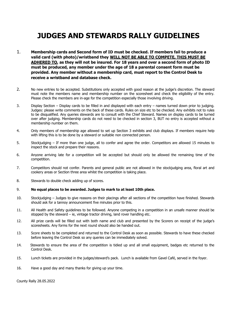## **JUDGES AND STEWARDS RALLY GUIDELINES**

- 1. **Membership cards and Second form of ID must be checked. If members fail to produce a valid card (with photo)/wristband they WILL NOT BE ABLE TO COMPETE, THIS MUST BE ADHERED TO, as they will not be insured. For 18 years and over a second form of photo ID must be produced, any member under the age of 18 a parental consent form must be provided. Any member without a membership card, must report to the Control Desk to receive a wristband and database check.**
- 2. No new entries to be accepted. Substitutions only accepted with good reason at the judge's discretion. The steward must note the members name and membership number on the scoresheet and check the eligibility of the entry. Please check the members are in-age for the competition especially those involving driving.
- 3. Display Section Display cards to be filled in and displayed with each entry names turned down prior to judging. Judges: please write comments on the back of these cards. Rules on size etc to be checked. Any exhibits not to rules to be disqualified. Any queries stewards are to consult with the Chief Steward. Names on display cards to be turned over after judging. Membership cards do not need to be checked in section 3, BUT no entry is accepted without a membership number on them.
- 4. Only members of membership age allowed to set up Section 3 exhibits and club displays. If members require help with lifting this is to be done by a steward or suitable non connected person.
- 5. Stockjudging If more than one judge, all to confer and agree the order. Competitors are allowed 15 minutes to inspect the stock and prepare their reasons.
- 6. Anyone arriving late for a competition will be accepted but should only be allowed the remaining time of the competition.
- 7. Competitors should not confer. Parents and general public are not allowed in the stockjudging area, floral art and cookery areas or Section three area whilst the competition is taking place.
- 8. Stewards to double check adding up of scores.

#### 9. **No equal places to be awarded. Judges to mark to at least 10th place.**

- 10. Stockjudging Judges to give reasons on their placings after all sections of the competition have finished. Stewards should ask for a tannoy announcement five minutes prior to this.
- 11. All Health and Safety guidelines to be followed. Anyone competing in a competition in an unsafe manner should be stopped by the steward  $-$  ie, vintage tractor driving, land rover handling etc.
- 12. All prize cards will be filled out with both name and club and presented by the Scorers on receipt of the judge's scoresheets. Any forms for the next round should also be handed out.
- 13. Score sheets to be completed and returned to the Control Desk as soon as possible. Stewards to have these checked before leaving the Control Desk so any queries can be immediately solved.
- 14. Stewards to ensure the area of the competition is tidied up and all small equipment, badges etc returned to the Control Desk.
- 15. Lunch tickets are provided in the judges/steward's pack. Lunch is available from Gavel Café, served in the foyer.
- 16. Have a good day and many thanks for giving up your time.

County Rally 28.05.2022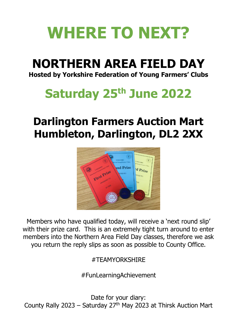# **WHERE TO NEXT?**

# **NORTHERN AREA FIELD DAY**

**Hosted by Yorkshire Federation of Young Farmers' Clubs**

# **Saturday 25 th June 2022**

# **Darlington Farmers Auction Mart Humbleton, Darlington, DL2 2XX**



Members who have qualified today, will receive a 'next round slip' with their prize card. This is an extremely tight turn around to enter members into the Northern Area Field Day classes, therefore we ask you return the reply slips as soon as possible to County Office.

#TEAMYORKSHIRE

#FunLearningAchievement

Date for your diary: County Rally 2023 – Saturday  $27<sup>th</sup>$  May 2023 at Thirsk Auction Mart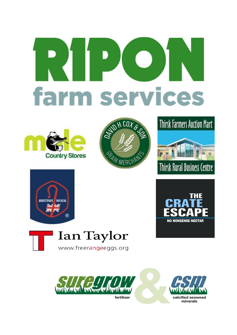# **farm services**

















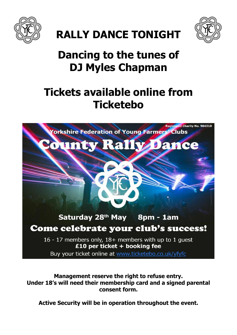



# **Dancing to the tunes of**

**RALLY DANCE TONIGHT** 

# **DJ Myles Chapman**

# **Tickets available online from Ticketebo**



**Management reserve the right to refuse entry. Under 18's will need their membership card and a signed parental consent form.** 

**Active Security will be in operation throughout the event.**